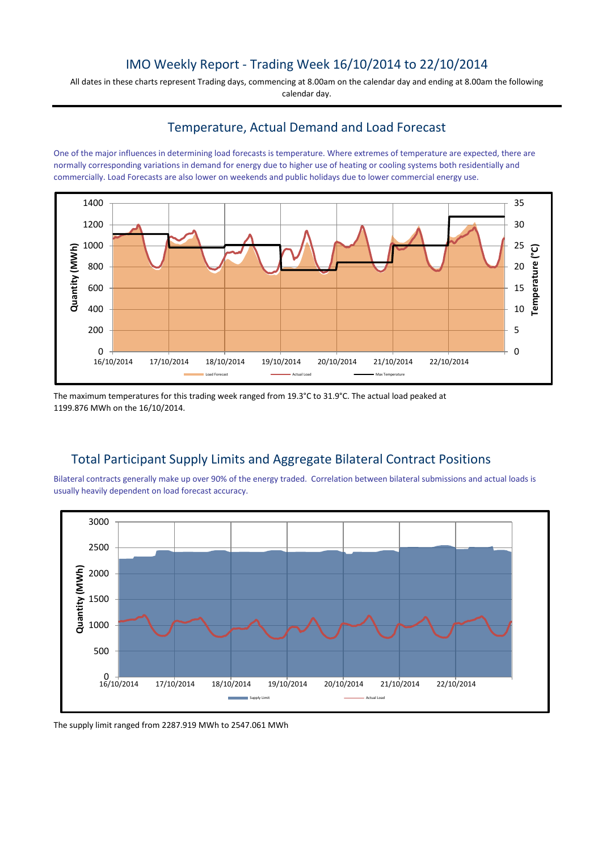### IMO Weekly Report - Trading Week 16/10/2014 to 22/10/2014

All dates in these charts represent Trading days, commencing at 8.00am on the calendar day and ending at 8.00am the following calendar day.

# Temperature, Actual Demand and Load Forecast

One of the major influences in determining load forecasts is temperature. Where extremes of temperature are expected, there are normally corresponding variations in demand for energy due to higher use of heating or cooling systems both residentially and commercially. Load Forecasts are also lower on weekends and public holidays due to lower commercial energy use.



The maximum temperatures for this trading week ranged from 19.3°C to 31.9°C. The actual load peaked at 1199.876 MWh on the 16/10/2014.

# Total Participant Supply Limits and Aggregate Bilateral Contract Positions

Bilateral contracts generally make up over 90% of the energy traded. Correlation between bilateral submissions and actual loads is usually heavily dependent on load forecast accuracy.



The supply limit ranged from 2287.919 MWh to 2547.061 MWh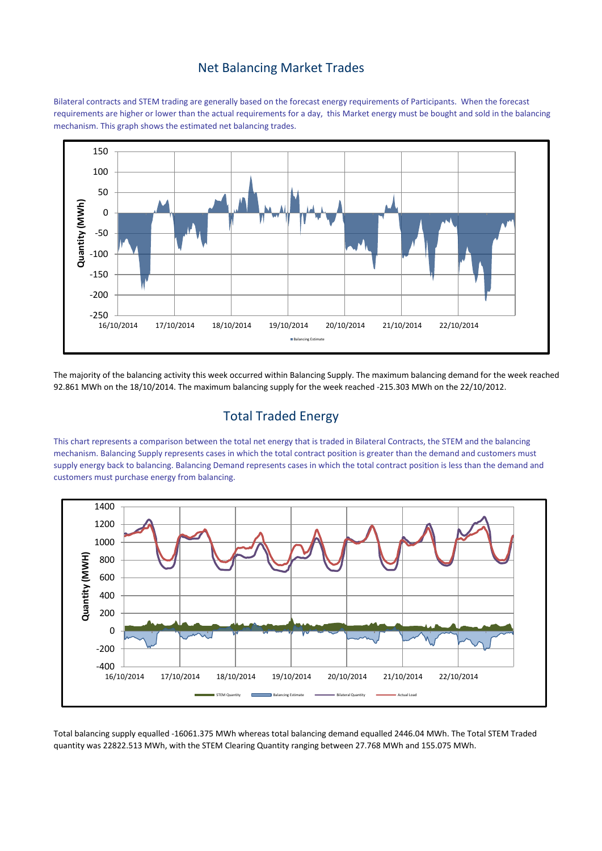#### Net Balancing Market Trades

Bilateral contracts and STEM trading are generally based on the forecast energy requirements of Participants. When the forecast requirements are higher or lower than the actual requirements for a day, this Market energy must be bought and sold in the balancing mechanism. This graph shows the estimated net balancing trades.



The majority of the balancing activity this week occurred within Balancing Supply. The maximum balancing demand for the week reached 92.861 MWh on the 18/10/2014. The maximum balancing supply for the week reached -215.303 MWh on the 22/10/2012.

## Total Traded Energy

This chart represents a comparison between the total net energy that is traded in Bilateral Contracts, the STEM and the balancing mechanism. Balancing Supply represents cases in which the total contract position is greater than the demand and customers must supply energy back to balancing. Balancing Demand represents cases in which the total contract position is less than the demand and customers must purchase energy from balancing.



Total balancing supply equalled -16061.375 MWh whereas total balancing demand equalled 2446.04 MWh. The Total STEM Traded quantity was 22822.513 MWh, with the STEM Clearing Quantity ranging between 27.768 MWh and 155.075 MWh.